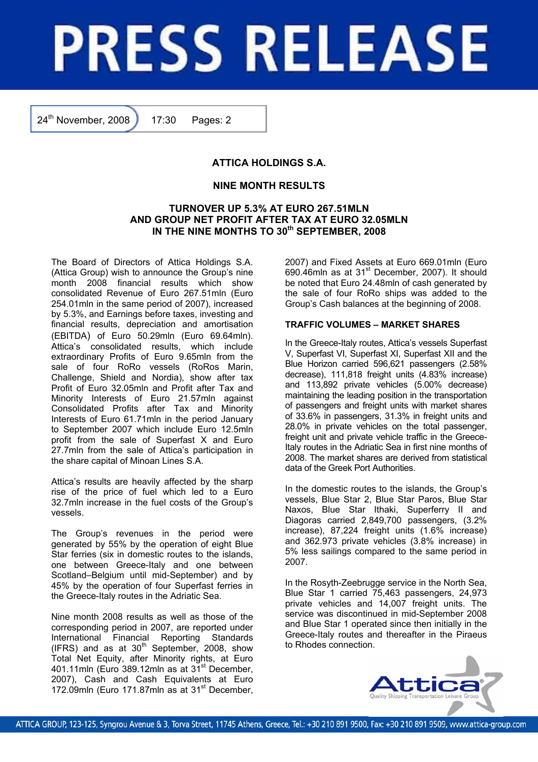# **PRESS RELEASE**

24<sup>th</sup> November, 2008 17:30 Pages: 2

# **ATTICA HOLDINGS S.A.**

## **NINE MONTH RESULTS**

## **TURNOVER UP 5.3% AT EURO 267.51MLN AND GROUP NET PROFIT AFTER TAX AT EURO 32.05MLN**  IN THE NINE MONTHS TO 30<sup>th</sup> SEPTEMBER, 2008

The Board of Directors of Attica Holdings S.A. (Attica Group) wish to announce the Group's nine month 2008 financial results which show consolidated Revenue of Euro 267.51mln (Euro 254.01mln in the same period of 2007), increased by 5.3%, and Earnings before taxes, investing and financial results, depreciation and amortisation (EBITDA) of Euro 50.29mln (Euro 69.64mln). Attica's consolidated results, which include extraordinary Profits of Euro 9.65mln from the sale of four RoRo vessels (RoRos Marin, Challenge, Shield and Nordia), show after tax Profit of Euro 32.05mln and Profit after Tax and Minority Interests of Euro 21.57mln against Consolidated Profits after Tax and Minority Interests of Euro 61.71mln in the period January to September 2007 which include Euro 12.5mln profit from the sale of Superfast X and Euro 27.7mln from the sale of Attica's participation in the share capital of Minoan Lines S.A.

Attica's results are heavily affected by the sharp rise of the price of fuel which led to a Euro 32.7mln increase in the fuel costs of the Group's vessels.

The Group's revenues in the period were generated by 55% by the operation of eight Blue Star ferries (six in domestic routes to the islands, one between Greece-Italy and one between Scotland–Belgium until mid-September) and by 45% by the operation of four Superfast ferries in the Greece-Italy routes in the Adriatic Sea.

Nine month 2008 results as well as those of the corresponding period in 2007, are reported under International Financial Reporting Standards (IFRS) and as at  $30<sup>th</sup>$  September, 2008, show Total Net Equity, after Minority rights, at Euro 401.11mln (Euro 389.12mln as at 31<sup>st</sup> December, 2007), Cash and Cash Equivalents at Euro 172.09mln (Euro 171.87mln as at 31<sup>st</sup> December, 2007) and Fixed Assets at Euro 669.01mln (Euro 690.46mln as at 31<sup>st</sup> December, 2007). It should be noted that Euro 24.48mln of cash generated by the sale of four RoRo ships was added to the Group's Cash balances at the beginning of 2008.

### **TRAFFIC VOLUMES – MARKET SHARES**

In the Greece-Italy routes, Attica's vessels Superfast V, Superfast VI, Superfast XI, Superfast XII and the Blue Horizon carried 596,621 passengers (2.58% decrease), 111,818 freight units (4.83% increase) and 113,892 private vehicles (5.00% decrease) maintaining the leading position in the transportation of passengers and freight units with market shares of 33.6% in passengers, 31.3% in freight units and 28.0% in private vehicles on the total passenger, freight unit and private vehicle traffic in the Greece-Italy routes in the Adriatic Sea in first nine months of 2008. The market shares are derived from statistical data of the Greek Port Authorities.

In the domestic routes to the islands, the Group's vessels, Blue Star 2, Blue Star Paros, Blue Star Naxos, Blue Star Ithaki, Superferry II and Diagoras carried 2,849,700 passengers, (3.2% increase), 87,224 freight units (1.6% increase) and 362.973 private vehicles (3.8% increase) in 5% less sailings compared to the same period in 2007.

In the Rosyth-Zeebrugge service in the North Sea, Blue Star 1 carried 75,463 passengers, 24,973 private vehicles and 14,007 freight units. The service was discontinued in mid-September 2008 and Blue Star 1 operated since then initially in the Greece-Italy routes and thereafter in the Piraeus to Rhodes connection.